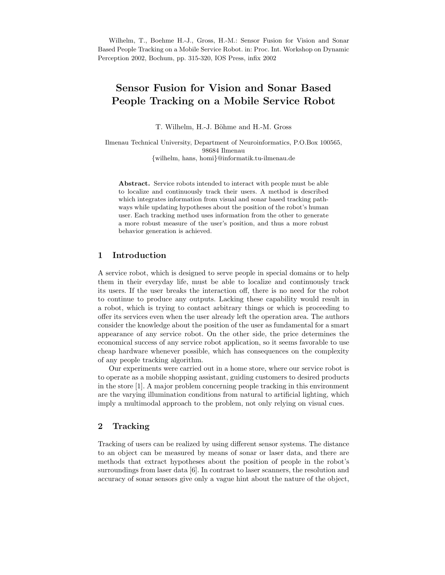Wilhelm, T., Boehme H.-J., Gross, H.-M.: Sensor Fusion for Vision and Sonar Based People Tracking on a Mobile Service Robot. in: Proc. Int. Workshop on Dynamic Perception 2002, Bochum, pp. 315-320, IOS Press, infix 2002

# Sensor Fusion for Vision and Sonar Based People Tracking on a Mobile Service Robot

T. Wilhelm, H.-J. Böhme and H.-M. Gross

Ilmenau Technical University, Department of Neuroinformatics, P.O.Box 100565, 98684 Ilmenau {wilhelm, hans, homi}@informatik.tu-ilmenau.de

Abstract. Service robots intended to interact with people must be able to localize and continuously track their users. A method is described which integrates information from visual and sonar based tracking pathways while updating hypotheses about the position of the robot's human user. Each tracking method uses information from the other to generate a more robust measure of the user's position, and thus a more robust behavior generation is achieved.

# 1 Introduction

A service robot, which is designed to serve people in special domains or to help them in their everyday life, must be able to localize and continuously track its users. If the user breaks the interaction off, there is no need for the robot to continue to produce any outputs. Lacking these capability would result in a robot, which is trying to contact arbitrary things or which is proceeding to offer its services even when the user already left the operation area. The authors consider the knowledge about the position of the user as fundamental for a smart appearance of any service robot. On the other side, the price determines the economical success of any service robot application, so it seems favorable to use cheap hardware whenever possible, which has consequences on the complexity of any people tracking algorithm.

Our experiments were carried out in a home store, where our service robot is to operate as a mobile shopping assistant, guiding customers to desired products in the store [1]. A major problem concerning people tracking in this environment are the varying illumination conditions from natural to artificial lighting, which imply a multimodal approach to the problem, not only relying on visual cues.

## 2 Tracking

Tracking of users can be realized by using different sensor systems. The distance to an object can be measured by means of sonar or laser data, and there are methods that extract hypotheses about the position of people in the robot's surroundings from laser data [6]. In contrast to laser scanners, the resolution and accuracy of sonar sensors give only a vague hint about the nature of the object,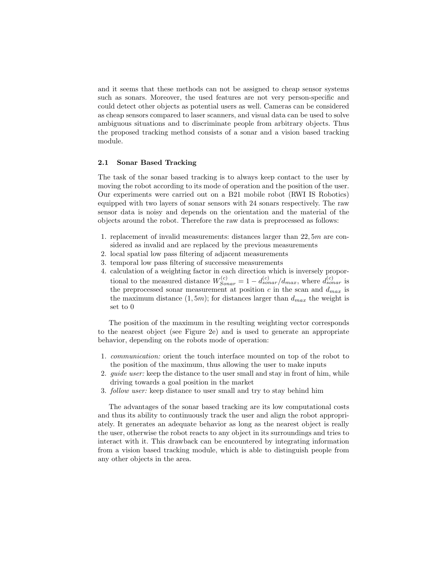and it seems that these methods can not be assigned to cheap sensor systems such as sonars. Moreover, the used features are not very person-specific and could detect other objects as potential users as well. Cameras can be considered as cheap sensors compared to laser scanners, and visual data can be used to solve ambiguous situations and to discriminate people from arbitrary objects. Thus the proposed tracking method consists of a sonar and a vision based tracking module.

#### 2.1 Sonar Based Tracking

The task of the sonar based tracking is to always keep contact to the user by moving the robot according to its mode of operation and the position of the user. Our experiments were carried out on a B21 mobile robot (RWI IS Robotics) equipped with two layers of sonar sensors with 24 sonars respectively. The raw sensor data is noisy and depends on the orientation and the material of the objects around the robot. Therefore the raw data is preprocessed as follows:

- 1. replacement of invalid measurements: distances larger than 22, 5m are considered as invalid and are replaced by the previous measurements
- 2. local spatial low pass filtering of adjacent measurements
- 3. temporal low pass filtering of successive measurements
- 4. calculation of a weighting factor in each direction which is inversely proportional to the measured distance  $W_{Sonar}^{(c)} = 1 - d_{sonar}^{(c)} / d_{max}$ , where  $d_{sonar}^{(c)}$  is the preprocessed sonar measurement at position  $c$  in the scan and  $d_{max}$  is the maximum distance  $(1, 5m)$ ; for distances larger than  $d_{max}$  the weight is set to 0

The position of the maximum in the resulting weighting vector corresponds to the nearest object (see Figure 2e) and is used to generate an appropriate behavior, depending on the robots mode of operation:

- 1. communication: orient the touch interface mounted on top of the robot to the position of the maximum, thus allowing the user to make inputs
- 2. *guide user:* keep the distance to the user small and stay in front of him, while driving towards a goal position in the market
- 3. follow user: keep distance to user small and try to stay behind him

The advantages of the sonar based tracking are its low computational costs and thus its ability to continuously track the user and align the robot appropriately. It generates an adequate behavior as long as the nearest object is really the user, otherwise the robot reacts to any object in its surroundings and tries to interact with it. This drawback can be encountered by integrating information from a vision based tracking module, which is able to distinguish people from any other objects in the area.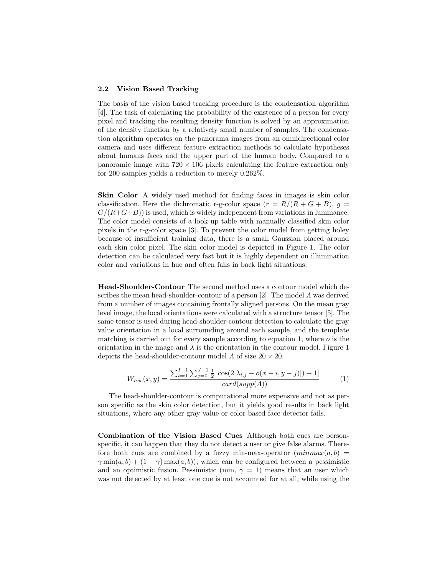#### 2.2 Vision Based Tracking

The basis of the vision based tracking procedure is the condensation algorithm [4]. The task of calculating the probability of the existence of a person for every pixel and tracking the resulting density function is solved by an approximation of the density function by a relatively small number of samples. The condensation algorithm operates on the panorama images from an omnidirectional color camera and uses different feature extraction methods to calculate hypotheses about humans faces and the upper part of the human body. Compared to a panoramic image with  $720 \times 106$  pixels calculating the feature extraction only for 200 samples yields a reduction to merely 0.262%.

Skin Color A widely used method for finding faces in images is skin color classification. Here the dichromatic r-g-color space  $(r = R/(R + G + B), g =$  $G/(R+G+B)$ ) is used, which is widely independent from variations in luminance. The color model consists of a look up table with manually classified skin color pixels in the r-g-color space [3]. To prevent the color model from getting holey because of insufficient training data, there is a small Gaussian placed around each skin color pixel. The skin color model is depicted in Figure 1. The color detection can be calculated very fast but it is highly dependent on illumination color and variations in hue and often fails in back light situations.

Head-Shoulder-Contour The second method uses a contour model which describes the mean head-shoulder-contour of a person [2]. The model  $\Lambda$  was derived from a number of images containing frontally aligned persons. On the mean gray level image, the local orientations were calculated with a structure tensor [5]. The same tensor is used during head-shoulder-contour detection to calculate the gray value orientation in a local surrounding around each sample, and the template matching is carried out for every sample according to equation 1, where  $o$  is the orientation in the image and  $\lambda$  is the orientation in the contour model. Figure 1 depicts the head-shoulder-contour model  $\Lambda$  of size  $20 \times 20$ .

$$
W_{hsc}(x,y) = \frac{\sum_{i=0}^{I-1} \sum_{j=0}^{J-1} \frac{1}{2} \left[ \cos(2|\lambda_{i,j} - o(x-i, y-j)|) + 1 \right]}{\operatorname{card}(\operatorname{supp}(A))} \tag{1}
$$

The head-shoulder-contour is computational more expensive and not as person specific as the skin color detection, but it yields good results in back light situations, where any other gray value or color based face detector fails.

Combination of the Vision Based Cues Although both cues are personspecific, it can happen that they do not detect a user or give false alarms. Therefore both cues are combined by a fuzzy min-max-operator  $(minmax(a, b)$  =  $\gamma \min(a, b) + (1 - \gamma) \max(a, b)$ , which can be configured between a pessimistic and an optimistic fusion. Pessimistic (min,  $\gamma = 1$ ) means that an user which was not detected by at least one cue is not accounted for at all, while using the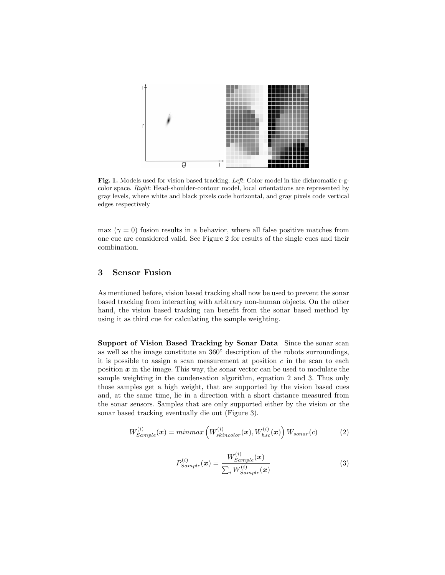

Fig. 1. Models used for vision based tracking. Left: Color model in the dichromatic r-gcolor space. Right: Head-shoulder-contour model, local orientations are represented by gray levels, where white and black pixels code horizontal, and gray pixels code vertical edges respectively

max ( $\gamma = 0$ ) fusion results in a behavior, where all false positive matches from one cue are considered valid. See Figure 2 for results of the single cues and their combination.

# 3 Sensor Fusion

As mentioned before, vision based tracking shall now be used to prevent the sonar based tracking from interacting with arbitrary non-human objects. On the other hand, the vision based tracking can benefit from the sonar based method by using it as third cue for calculating the sample weighting.

Support of Vision Based Tracking by Sonar Data Since the sonar scan as well as the image constitute an 360◦ description of the robots surroundings, it is possible to assign a scan measurement at position  $c$  in the scan to each position  $x$  in the image. This way, the sonar vector can be used to modulate the sample weighting in the condensation algorithm, equation 2 and 3. Thus only those samples get a high weight, that are supported by the vision based cues and, at the same time, lie in a direction with a short distance measured from the sonar sensors. Samples that are only supported either by the vision or the sonar based tracking eventually die out (Figure 3).

$$
W_{Sample}^{(i)}(\boldsymbol{x}) = minmax\left(W_{skincolor}^{(i)}(\boldsymbol{x}), W_{hsc}^{(i)}(\boldsymbol{x})\right)W_{sonar}(c)
$$
 (2)

$$
P_{Sample}^{(i)}(\boldsymbol{x}) = \frac{W_{Sample}^{(i)}(\boldsymbol{x})}{\sum_{i} W_{Sample}^{(i)}(\boldsymbol{x})}
$$
(3)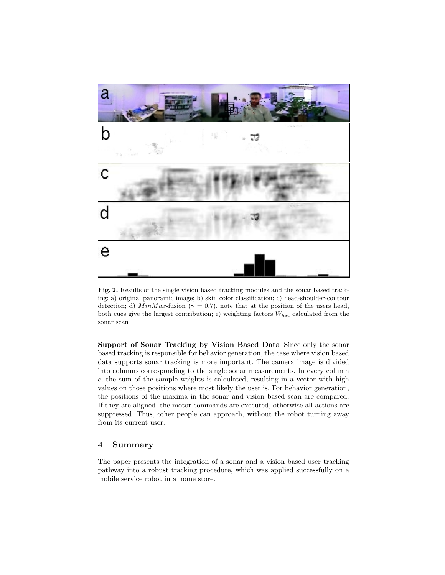

Fig. 2. Results of the single vision based tracking modules and the sonar based tracking: a) original panoramic image; b) skin color classification; c) head-shoulder-contour detection; d) MinMax-fusion ( $\gamma = 0.7$ ), note that at the position of the users head, both cues give the largest contribution; e) weighting factors  $W_{hsc}$  calculated from the sonar scan

Support of Sonar Tracking by Vision Based Data Since only the sonar based tracking is responsible for behavior generation, the case where vision based data supports sonar tracking is more important. The camera image is divided into columns corresponding to the single sonar measurements. In every column c, the sum of the sample weights is calculated, resulting in a vector with high values on those positions where most likely the user is. For behavior generation, the positions of the maxima in the sonar and vision based scan are compared. If they are aligned, the motor commands are executed, otherwise all actions are suppressed. Thus, other people can approach, without the robot turning away from its current user.

## 4 Summary

The paper presents the integration of a sonar and a vision based user tracking pathway into a robust tracking procedure, which was applied successfully on a mobile service robot in a home store.